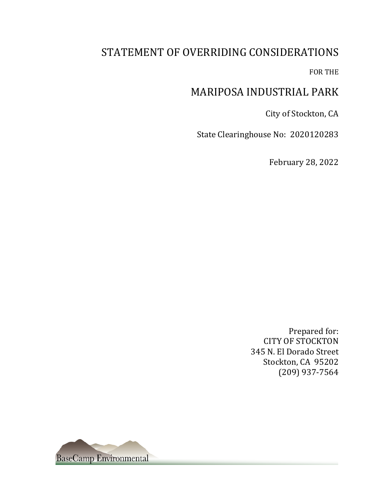# STATEMENT OF OVERRIDING CONSIDERATIONS

FOR THE

## MARIPOSA INDUSTRIAL PARK

City of Stockton, CA

State Clearinghouse No: 2020120283

February 28, 2022

Prepared for: CITY OF STOCKTON 345 N. El Dorado Street Stockton, CA 95202 (209) 937-7564

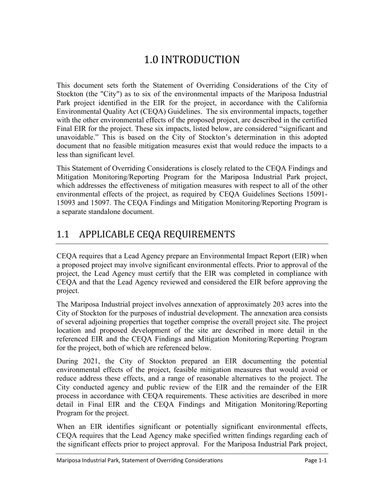# 1.0 INTRODUCTION

This document sets forth the Statement of Overriding Considerations of the City of Stockton (the "City") as to six of the environmental impacts of the Mariposa Industrial Park project identified in the EIR for the project, in accordance with the California Environmental Quality Act (CEQA) Guidelines. The six environmental impacts, together with the other environmental effects of the proposed project, are described in the certified Final EIR for the project. These six impacts, listed below, are considered "significant and unavoidable." This is based on the City of Stockton's determination in this adopted document that no feasible mitigation measures exist that would reduce the impacts to a less than significant level.

This Statement of Overriding Considerations is closely related to the CEQA Findings and Mitigation Monitoring/Reporting Program for the Mariposa Industrial Park project, which addresses the effectiveness of mitigation measures with respect to all of the other environmental effects of the project, as required by CEQA Guidelines Sections 15091- 15093 and 15097. The CEQA Findings and Mitigation Monitoring/Reporting Program is a separate standalone document.

# 1.1 APPLICABLE CEQA REQUIREMENTS

CEQA requires that a Lead Agency prepare an Environmental Impact Report (EIR) when a proposed project may involve significant environmental effects. Prior to approval of the project, the Lead Agency must certify that the EIR was completed in compliance with CEQA and that the Lead Agency reviewed and considered the EIR before approving the project.

The Mariposa Industrial project involves annexation of approximately 203 acres into the City of Stockton for the purposes of industrial development. The annexation area consists of several adjoining properties that together comprise the overall project site. The project location and proposed development of the site are described in more detail in the referenced EIR and the CEQA Findings and Mitigation Monitoring/Reporting Program for the project, both of which are referenced below.

During 2021, the City of Stockton prepared an EIR documenting the potential environmental effects of the project, feasible mitigation measures that would avoid or reduce address these effects, and a range of reasonable alternatives to the project. The City conducted agency and public review of the EIR and the remainder of the EIR process in accordance with CEQA requirements. These activities are described in more detail in Final EIR and the CEQA Findings and Mitigation Monitoring/Reporting Program for the project.

When an EIR identifies significant or potentially significant environmental effects, CEQA requires that the Lead Agency make specified written findings regarding each of the significant effects prior to project approval. For the Mariposa Industrial Park project,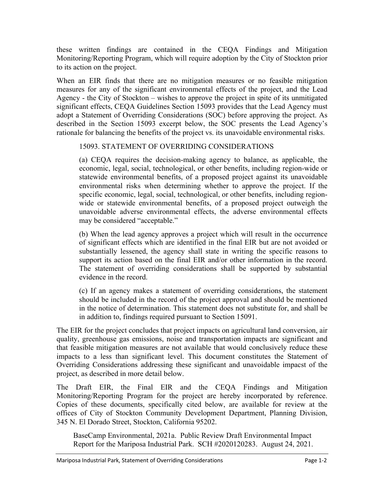these written findings are contained in the CEQA Findings and Mitigation Monitoring/Reporting Program, which will require adoption by the City of Stockton prior to its action on the project.

When an EIR finds that there are no mitigation measures or no feasible mitigation measures for any of the significant environmental effects of the project, and the Lead Agency - the City of Stockton – wishes to approve the project in spite of its unmitigated significant effects, CEQA Guidelines Section 15093 provides that the Lead Agency must adopt a Statement of Overriding Considerations (SOC) before approving the project. As described in the Section 15093 excerpt below, the SOC presents the Lead Agency's rationale for balancing the benefits of the project vs. its unavoidable environmental risks.

## 15093. STATEMENT OF OVERRIDING CONSIDERATIONS

(a) CEQA requires the decision-making agency to balance, as applicable, the economic, legal, social, technological, or other benefits, including region-wide or statewide environmental benefits, of a proposed project against its unavoidable environmental risks when determining whether to approve the project. If the specific economic, legal, social, technological, or other benefits, including regionwide or statewide environmental benefits, of a proposed project outweigh the unavoidable adverse environmental effects, the adverse environmental effects may be considered "acceptable."

(b) When the lead agency approves a project which will result in the occurrence of significant effects which are identified in the final EIR but are not avoided or substantially lessened, the agency shall state in writing the specific reasons to support its action based on the final EIR and/or other information in the record. The statement of overriding considerations shall be supported by substantial evidence in the record.

(c) If an agency makes a statement of overriding considerations, the statement should be included in the record of the project approval and should be mentioned in the notice of determination. This statement does not substitute for, and shall be in addition to, findings required pursuant to Section 15091.

The EIR for the project concludes that project impacts on agricultural land conversion, air quality, greenhouse gas emissions, noise and transportation impacts are significant and that feasible mitigation measures are not available that would conclusively reduce these impacts to a less than significant level. This document constitutes the Statement of Overriding Considerations addressing these significant and unavoidable impacst of the project, as described in more detail below.

The Draft EIR, the Final EIR and the CEQA Findings and Mitigation Monitoring/Reporting Program for the project are hereby incorporated by reference. Copies of these documents, specifically cited below, are available for review at the offices of City of Stockton Community Development Department, Planning Division, 345 N. El Dorado Street, Stockton, California 95202.

BaseCamp Environmental, 2021a. Public Review Draft Environmental Impact Report for the Mariposa Industrial Park. SCH #2020120283. August 24, 2021.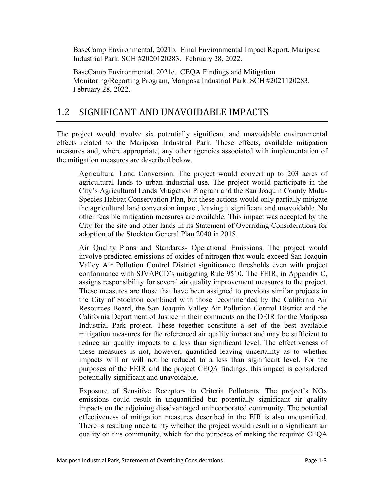BaseCamp Environmental, 2021b. Final Environmental Impact Report, Mariposa Industrial Park. SCH #2020120283. February 28, 2022.

BaseCamp Environmental, 2021c. CEQA Findings and Mitigation Monitoring/Reporting Program, Mariposa Industrial Park. SCH #2021120283. February 28, 2022.

## 1.2 SIGNIFICANT AND UNAVOIDABLE IMPACTS

The project would involve six potentially significant and unavoidable environmental effects related to the Mariposa Industrial Park. These effects, available mitigation measures and, where appropriate, any other agencies associated with implementation of the mitigation measures are described below.

Agricultural Land Conversion. The project would convert up to 203 acres of agricultural lands to urban industrial use. The project would participate in the City's Agricultural Lands Mitigation Program and the San Joaquin County Multi-Species Habitat Conservation Plan, but these actions would only partially mitigate the agricultural land conversion impact, leaving it significant and unavoidable. No other feasible mitigation measures are available. This impact was accepted by the City for the site and other lands in its Statement of Overriding Considerations for adoption of the Stockton General Plan 2040 in 2018.

Air Quality Plans and Standards- Operational Emissions. The project would involve predicted emissions of oxides of nitrogen that would exceed San Joaquin Valley Air Pollution Control District significance thresholds even with project conformance with SJVAPCD's mitigating Rule 9510. The FEIR, in Appendix C, assigns responsibility for several air quality improvement measures to the project. These measures are those that have been assigned to previous similar projects in the City of Stockton combined with those recommended by the California Air Resources Board, the San Joaquin Valley Air Pollution Control District and the California Department of Justice in their comments on the DEIR for the Mariposa Industrial Park project. These together constitute a set of the best available mitigation measures for the referenced air quality impact and may be sufficient to reduce air quality impacts to a less than significant level. The effectiveness of these measures is not, however, quantified leaving uncertainty as to whether impacts will or will not be reduced to a less than significant level. For the purposes of the FEIR and the project CEQA findings, this impact is considered potentially significant and unavoidable.

Exposure of Sensitive Receptors to Criteria Pollutants. The project's NOx emissions could result in unquantified but potentially significant air quality impacts on the adjoining disadvantaged unincorporated community. The potential effectiveness of mitigation measures described in the EIR is also unquantified. There is resulting uncertainty whether the project would result in a significant air quality on this community, which for the purposes of making the required CEQA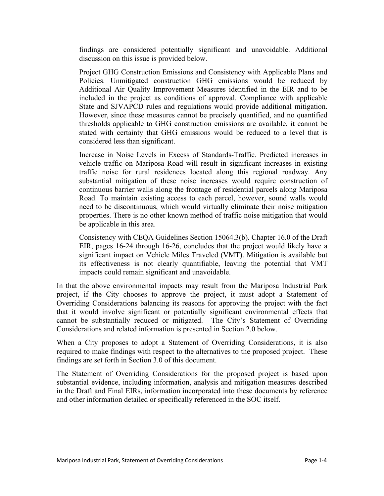findings are considered potentially significant and unavoidable. Additional discussion on this issue is provided below.

Project GHG Construction Emissions and Consistency with Applicable Plans and Policies. Unmitigated construction GHG emissions would be reduced by Additional Air Quality Improvement Measures identified in the EIR and to be included in the project as conditions of approval. Compliance with applicable State and SJVAPCD rules and regulations would provide additional mitigation. However, since these measures cannot be precisely quantified, and no quantified thresholds applicable to GHG construction emissions are available, it cannot be stated with certainty that GHG emissions would be reduced to a level that is considered less than significant.

Increase in Noise Levels in Excess of Standards-Traffic. Predicted increases in vehicle traffic on Mariposa Road will result in significant increases in existing traffic noise for rural residences located along this regional roadway. Any substantial mitigation of these noise increases would require construction of continuous barrier walls along the frontage of residential parcels along Mariposa Road. To maintain existing access to each parcel, however, sound walls would need to be discontinuous, which would virtually eliminate their noise mitigation properties. There is no other known method of traffic noise mitigation that would be applicable in this area.

Consistency with CEQA Guidelines Section 15064.3(b). Chapter 16.0 of the Draft EIR, pages 16-24 through 16-26, concludes that the project would likely have a significant impact on Vehicle Miles Traveled (VMT). Mitigation is available but its effectiveness is not clearly quantifiable, leaving the potential that VMT impacts could remain significant and unavoidable.

In that the above environmental impacts may result from the Mariposa Industrial Park project, if the City chooses to approve the project, it must adopt a Statement of Overriding Considerations balancing its reasons for approving the project with the fact that it would involve significant or potentially significant environmental effects that cannot be substantially reduced or mitigated. The City's Statement of Overriding Considerations and related information is presented in Section 2.0 below.

When a City proposes to adopt a Statement of Overriding Considerations, it is also required to make findings with respect to the alternatives to the proposed project. These findings are set forth in Section 3.0 of this document.

The Statement of Overriding Considerations for the proposed project is based upon substantial evidence, including information, analysis and mitigation measures described in the Draft and Final EIRs, information incorporated into these documents by reference and other information detailed or specifically referenced in the SOC itself.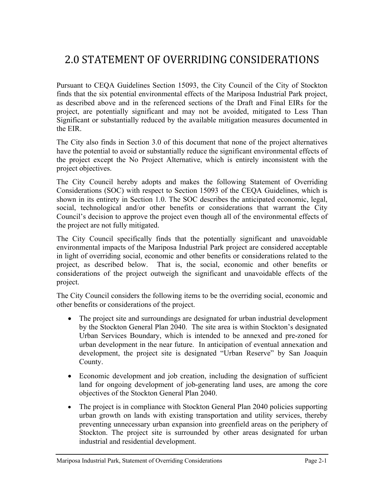# 2.0 STATEMENT OF OVERRIDING CONSIDERATIONS

Pursuant to CEQA Guidelines Section 15093, the City Council of the City of Stockton finds that the six potential environmental effects of the Mariposa Industrial Park project, as described above and in the referenced sections of the Draft and Final EIRs for the project, are potentially significant and may not be avoided, mitigated to Less Than Significant or substantially reduced by the available mitigation measures documented in the EIR.

The City also finds in Section 3.0 of this document that none of the project alternatives have the potential to avoid or substantially reduce the significant environmental effects of the project except the No Project Alternative, which is entirely inconsistent with the project objectives.

The City Council hereby adopts and makes the following Statement of Overriding Considerations (SOC) with respect to Section 15093 of the CEQA Guidelines, which is shown in its entirety in Section 1.0. The SOC describes the anticipated economic, legal, social, technological and/or other benefits or considerations that warrant the City Council's decision to approve the project even though all of the environmental effects of the project are not fully mitigated.

The City Council specifically finds that the potentially significant and unavoidable environmental impacts of the Mariposa Industrial Park project are considered acceptable in light of overriding social, economic and other benefits or considerations related to the project, as described below. That is, the social, economic and other benefits or considerations of the project outweigh the significant and unavoidable effects of the project.

The City Council considers the following items to be the overriding social, economic and other benefits or considerations of the project.

- The project site and surroundings are designated for urban industrial development by the Stockton General Plan 2040. The site area is within Stockton's designated Urban Services Boundary, which is intended to be annexed and pre-zoned for urban development in the near future. In anticipation of eventual annexation and development, the project site is designated "Urban Reserve" by San Joaquin County.
- Economic development and job creation, including the designation of sufficient land for ongoing development of job-generating land uses, are among the core objectives of the Stockton General Plan 2040.
- The project is in compliance with Stockton General Plan 2040 policies supporting urban growth on lands with existing transportation and utility services, thereby preventing unnecessary urban expansion into greenfield areas on the periphery of Stockton. The project site is surrounded by other areas designated for urban industrial and residential development.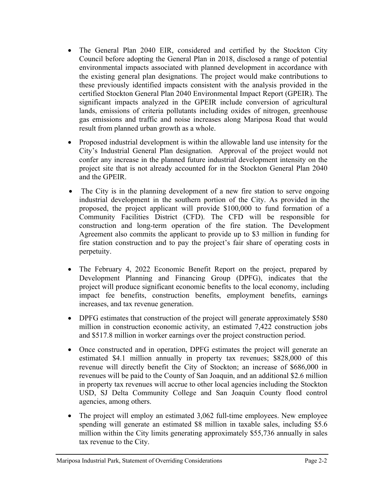- The General Plan 2040 EIR, considered and certified by the Stockton City Council before adopting the General Plan in 2018, disclosed a range of potential environmental impacts associated with planned development in accordance with the existing general plan designations. The project would make contributions to these previously identified impacts consistent with the analysis provided in the certified Stockton General Plan 2040 Environmental Impact Report (GPEIR). The significant impacts analyzed in the GPEIR include conversion of agricultural lands, emissions of criteria pollutants including oxides of nitrogen, greenhouse gas emissions and traffic and noise increases along Mariposa Road that would result from planned urban growth as a whole.
- Proposed industrial development is within the allowable land use intensity for the City's Industrial General Plan designation. Approval of the project would not confer any increase in the planned future industrial development intensity on the project site that is not already accounted for in the Stockton General Plan 2040 and the GPEIR.
- The City is in the planning development of a new fire station to serve ongoing industrial development in the southern portion of the City. As provided in the proposed, the project applicant will provide \$100,000 to fund formation of a Community Facilities District (CFD). The CFD will be responsible for construction and long-term operation of the fire station. The Development Agreement also commits the applicant to provide up to \$3 million in funding for fire station construction and to pay the project's fair share of operating costs in perpetuity.
- The February 4, 2022 Economic Benefit Report on the project, prepared by Development Planning and Financing Group (DPFG), indicates that the project will produce significant economic benefits to the local economy, including impact fee benefits, construction benefits, employment benefits, earnings increases, and tax revenue generation.
- DPFG estimates that construction of the project will generate approximately \$580 million in construction economic activity, an estimated 7,422 construction jobs and \$517.8 million in worker earnings over the project construction period.
- Once constructed and in operation, DPFG estimates the project will generate an estimated \$4.1 million annually in property tax revenues; \$828,000 of this revenue will directly benefit the City of Stockton; an increase of \$686,000 in revenues will be paid to the County of San Joaquin, and an additional \$2.6 million in property tax revenues will accrue to other local agencies including the Stockton USD, SJ Delta Community College and San Joaquin County flood control agencies, among others.
- The project will employ an estimated 3,062 full-time employees. New employee spending will generate an estimated \$8 million in taxable sales, including \$5.6 million within the City limits generating approximately \$55,736 annually in sales tax revenue to the City.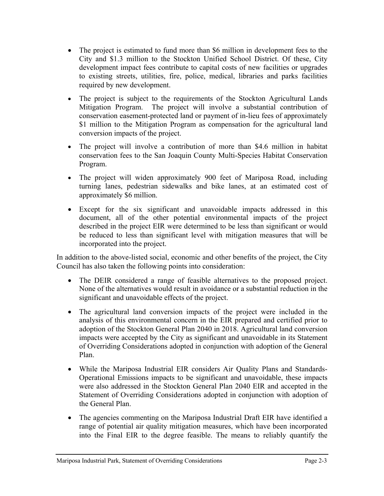- The project is estimated to fund more than \$6 million in development fees to the City and \$1.3 million to the Stockton Unified School District. Of these, City development impact fees contribute to capital costs of new facilities or upgrades to existing streets, utilities, fire, police, medical, libraries and parks facilities required by new development.
- The project is subject to the requirements of the Stockton Agricultural Lands Mitigation Program. The project will involve a substantial contribution of conservation easement-protected land or payment of in-lieu fees of approximately \$1 million to the Mitigation Program as compensation for the agricultural land conversion impacts of the project.
- The project will involve a contribution of more than \$4.6 million in habitat conservation fees to the San Joaquin County Multi-Species Habitat Conservation Program.
- The project will widen approximately 900 feet of Mariposa Road, including turning lanes, pedestrian sidewalks and bike lanes, at an estimated cost of approximately \$6 million.
- Except for the six significant and unavoidable impacts addressed in this document, all of the other potential environmental impacts of the project described in the project EIR were determined to be less than significant or would be reduced to less than significant level with mitigation measures that will be incorporated into the project.

In addition to the above-listed social, economic and other benefits of the project, the City Council has also taken the following points into consideration:

- The DEIR considered a range of feasible alternatives to the proposed project. None of the alternatives would result in avoidance or a substantial reduction in the significant and unavoidable effects of the project.
- The agricultural land conversion impacts of the project were included in the analysis of this environmental concern in the EIR prepared and certified prior to adoption of the Stockton General Plan 2040 in 2018. Agricultural land conversion impacts were accepted by the City as significant and unavoidable in its Statement of Overriding Considerations adopted in conjunction with adoption of the General Plan.
- While the Mariposa Industrial EIR considers Air Quality Plans and Standards-Operational Emissions impacts to be significant and unavoidable, these impacts were also addressed in the Stockton General Plan 2040 EIR and accepted in the Statement of Overriding Considerations adopted in conjunction with adoption of the General Plan.
- The agencies commenting on the Mariposa Industrial Draft EIR have identified a range of potential air quality mitigation measures, which have been incorporated into the Final EIR to the degree feasible. The means to reliably quantify the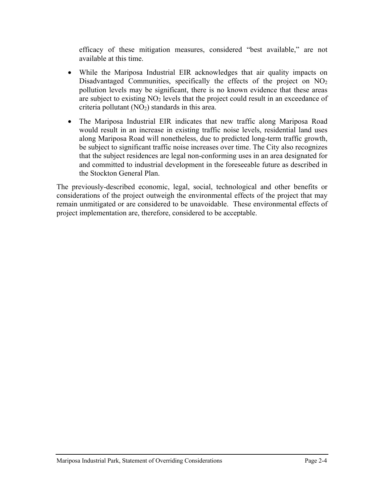efficacy of these mitigation measures, considered "best available," are not available at this time.

- While the Mariposa Industrial EIR acknowledges that air quality impacts on Disadvantaged Communities, specifically the effects of the project on  $NO<sub>2</sub>$ pollution levels may be significant, there is no known evidence that these areas are subject to existing NO<sub>2</sub> levels that the project could result in an exceedance of criteria pollutant  $(NO<sub>2</sub>)$  standards in this area.
- The Mariposa Industrial EIR indicates that new traffic along Mariposa Road would result in an increase in existing traffic noise levels, residential land uses along Mariposa Road will nonetheless, due to predicted long-term traffic growth, be subject to significant traffic noise increases over time. The City also recognizes that the subject residences are legal non-conforming uses in an area designated for and committed to industrial development in the foreseeable future as described in the Stockton General Plan.

The previously-described economic, legal, social, technological and other benefits or considerations of the project outweigh the environmental effects of the project that may remain unmitigated or are considered to be unavoidable. These environmental effects of project implementation are, therefore, considered to be acceptable.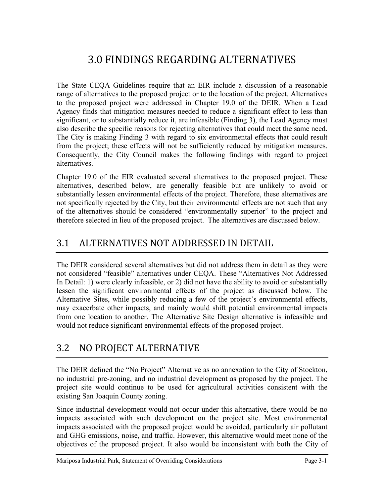# 3.0 FINDINGS REGARDING ALTERNATIVES

The State CEQA Guidelines require that an EIR include a discussion of a reasonable range of alternatives to the proposed project or to the location of the project. Alternatives to the proposed project were addressed in Chapter 19.0 of the DEIR. When a Lead Agency finds that mitigation measures needed to reduce a significant effect to less than significant, or to substantially reduce it, are infeasible (Finding 3), the Lead Agency must also describe the specific reasons for rejecting alternatives that could meet the same need. The City is making Finding 3 with regard to six environmental effects that could result from the project; these effects will not be sufficiently reduced by mitigation measures. Consequently, the City Council makes the following findings with regard to project alternatives.

Chapter 19.0 of the EIR evaluated several alternatives to the proposed project. These alternatives, described below, are generally feasible but are unlikely to avoid or substantially lessen environmental effects of the project. Therefore, these alternatives are not specifically rejected by the City, but their environmental effects are not such that any of the alternatives should be considered "environmentally superior" to the project and therefore selected in lieu of the proposed project. The alternatives are discussed below.

## 3.1 ALTERNATIVES NOT ADDRESSED IN DETAIL

The DEIR considered several alternatives but did not address them in detail as they were not considered "feasible" alternatives under CEQA. These "Alternatives Not Addressed In Detail: 1) were clearly infeasible, or 2) did not have the ability to avoid or substantially lessen the significant environmental effects of the project as discussed below. The Alternative Sites, while possibly reducing a few of the project's environmental effects, may exacerbate other impacts, and mainly would shift potential environmental impacts from one location to another. The Alternative Site Design alternative is infeasible and would not reduce significant environmental effects of the proposed project.

## 3.2 NO PROJECT ALTERNATIVE

The DEIR defined the "No Project" Alternative as no annexation to the City of Stockton, no industrial pre-zoning, and no industrial development as proposed by the project. The project site would continue to be used for agricultural activities consistent with the existing San Joaquin County zoning.

Since industrial development would not occur under this alternative, there would be no impacts associated with such development on the project site. Most environmental impacts associated with the proposed project would be avoided, particularly air pollutant and GHG emissions, noise, and traffic. However, this alternative would meet none of the objectives of the proposed project. It also would be inconsistent with both the City of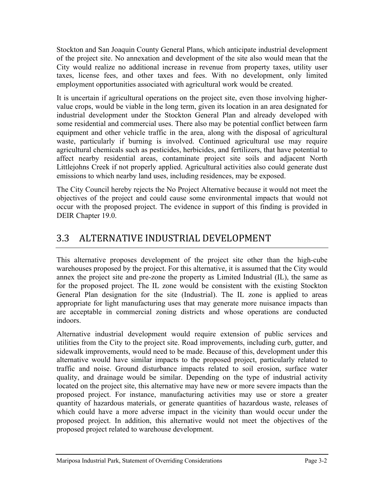Stockton and San Joaquin County General Plans, which anticipate industrial development of the project site. No annexation and development of the site also would mean that the City would realize no additional increase in revenue from property taxes, utility user taxes, license fees, and other taxes and fees. With no development, only limited employment opportunities associated with agricultural work would be created.

It is uncertain if agricultural operations on the project site, even those involving highervalue crops, would be viable in the long term, given its location in an area designated for industrial development under the Stockton General Plan and already developed with some residential and commercial uses. There also may be potential conflict between farm equipment and other vehicle traffic in the area, along with the disposal of agricultural waste, particularly if burning is involved. Continued agricultural use may require agricultural chemicals such as pesticides, herbicides, and fertilizers, that have potential to affect nearby residential areas, contaminate project site soils and adjacent North Littlejohns Creek if not properly applied. Agricultural activities also could generate dust emissions to which nearby land uses, including residences, may be exposed.

The City Council hereby rejects the No Project Alternative because it would not meet the objectives of the project and could cause some environmental impacts that would not occur with the proposed project. The evidence in support of this finding is provided in DEIR Chapter 19.0.

## 3.3 ALTERNATIVE INDUSTRIAL DEVELOPMENT

This alternative proposes development of the project site other than the high-cube warehouses proposed by the project. For this alternative, it is assumed that the City would annex the project site and pre-zone the property as Limited Industrial (IL), the same as for the proposed project. The IL zone would be consistent with the existing Stockton General Plan designation for the site (Industrial). The IL zone is applied to areas appropriate for light manufacturing uses that may generate more nuisance impacts than are acceptable in commercial zoning districts and whose operations are conducted indoors.

Alternative industrial development would require extension of public services and utilities from the City to the project site. Road improvements, including curb, gutter, and sidewalk improvements, would need to be made. Because of this, development under this alternative would have similar impacts to the proposed project, particularly related to traffic and noise. Ground disturbance impacts related to soil erosion, surface water quality, and drainage would be similar. Depending on the type of industrial activity located on the project site, this alternative may have new or more severe impacts than the proposed project. For instance, manufacturing activities may use or store a greater quantity of hazardous materials, or generate quantities of hazardous waste, releases of which could have a more adverse impact in the vicinity than would occur under the proposed project. In addition, this alternative would not meet the objectives of the proposed project related to warehouse development.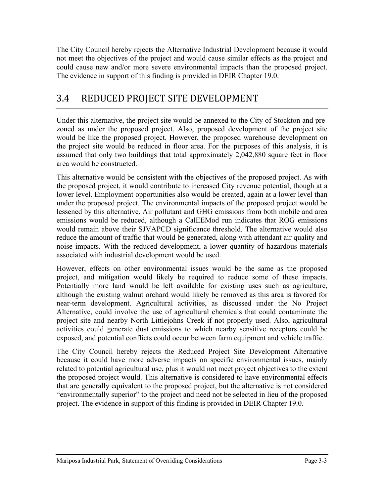The City Council hereby rejects the Alternative Industrial Development because it would not meet the objectives of the project and would cause similar effects as the project and could cause new and/or more severe environmental impacts than the proposed project. The evidence in support of this finding is provided in DEIR Chapter 19.0.

## 3.4 REDUCED PROJECT SITE DEVELOPMENT

Under this alternative, the project site would be annexed to the City of Stockton and prezoned as under the proposed project. Also, proposed development of the project site would be like the proposed project. However, the proposed warehouse development on the project site would be reduced in floor area. For the purposes of this analysis, it is assumed that only two buildings that total approximately 2,042,880 square feet in floor area would be constructed.

This alternative would be consistent with the objectives of the proposed project. As with the proposed project, it would contribute to increased City revenue potential, though at a lower level. Employment opportunities also would be created, again at a lower level than under the proposed project. The environmental impacts of the proposed project would be lessened by this alternative. Air pollutant and GHG emissions from both mobile and area emissions would be reduced, although a CalEEMod run indicates that ROG emissions would remain above their SJVAPCD significance threshold. The alternative would also reduce the amount of traffic that would be generated, along with attendant air quality and noise impacts. With the reduced development, a lower quantity of hazardous materials associated with industrial development would be used.

However, effects on other environmental issues would be the same as the proposed project, and mitigation would likely be required to reduce some of these impacts. Potentially more land would be left available for existing uses such as agriculture, although the existing walnut orchard would likely be removed as this area is favored for near-term development. Agricultural activities, as discussed under the No Project Alternative, could involve the use of agricultural chemicals that could contaminate the project site and nearby North Littlejohns Creek if not properly used. Also, agricultural activities could generate dust emissions to which nearby sensitive receptors could be exposed, and potential conflicts could occur between farm equipment and vehicle traffic.

The City Council hereby rejects the Reduced Project Site Development Alternative because it could have more adverse impacts on specific environmental issues, mainly related to potential agricultural use, plus it would not meet project objectives to the extent the proposed project would. This alternative is considered to have environmental effects that are generally equivalent to the proposed project, but the alternative is not considered "environmentally superior" to the project and need not be selected in lieu of the proposed project. The evidence in support of this finding is provided in DEIR Chapter 19.0.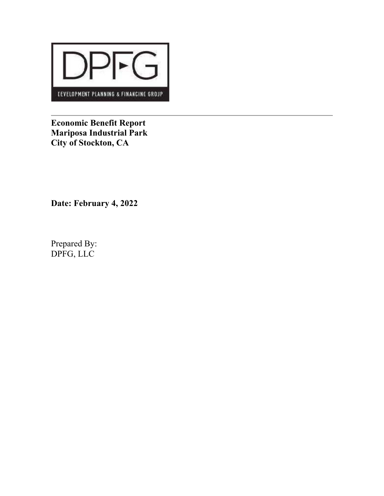

**Economic Benefit Report Mariposa Industrial Park City of Stockton, CA** 

**Date: February 4, 2022** 

Prepared By: DPFG, LLC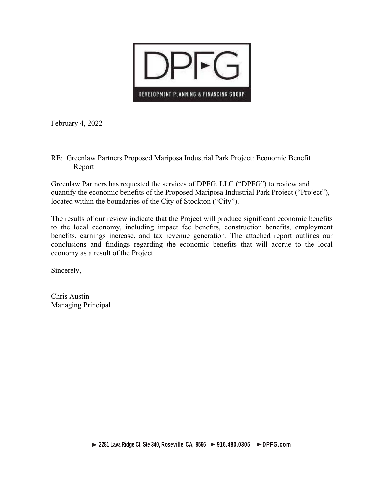

February 4, 2022

RE: Greenlaw Partners Proposed Mariposa Industrial Park Project: Economic Benefit Report

Greenlaw Partners has requested the services of DPFG, LLC ("DPFG") to review and quantify the economic benefits of the Proposed Mariposa Industrial Park Project ("Project"), located within the boundaries of the City of Stockton ("City").

The results of our review indicate that the Project will produce significant economic benefits to the local economy, including impact fee benefits, construction benefits, employment benefits, earnings increase, and tax revenue generation. The attached report outlines our conclusions and findings regarding the economic benefits that will accrue to the local economy as a result of the Project.

Sincerely,

Chris Austin Managing Principal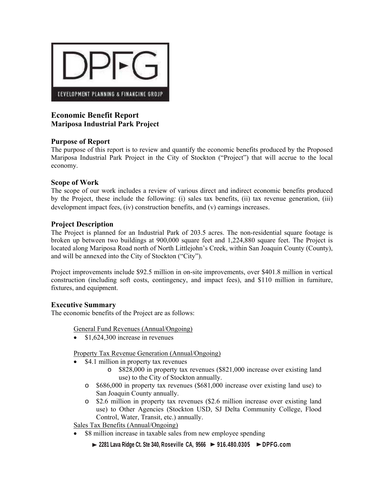

## **Economic Benefit Report Mariposa Industrial Park Project**

### **Purpose of Report**

The purpose of this report is to review and quantify the economic benefits produced by the Proposed Mariposa Industrial Park Project in the City of Stockton ("Project") that will accrue to the local economy.

### **Scope of Work**

The scope of our work includes a review of various direct and indirect economic benefits produced by the Project, these include the following: (i) sales tax benefits, (ii) tax revenue generation, (iii) development impact fees, (iv) construction benefits, and (v) earnings increases.

### **Project Description**

The Project is planned for an Industrial Park of 203.5 acres. The non-residential square footage is broken up between two buildings at 900,000 square feet and 1,224,880 square feet. The Project is located along Mariposa Road north of North Littlejohn's Creek, within San Joaquin County (County), and will be annexed into the City of Stockton ("City").

Project improvements include \$92.5 million in on-site improvements, over \$401.8 million in vertical construction (including soft costs, contingency, and impact fees), and \$110 million in furniture, fixtures, and equipment.

#### **Executive Summary**

The economic benefits of the Project are as follows:

General Fund Revenues (Annual/Ongoing)

 $\bullet$  \$1,624,300 increase in revenues

Property Tax Revenue Generation (Annual/Ongoing)

- \$4.1 million in property tax revenues
	- o \$828,000 in property tax revenues (\$821,000 increase over existing land use) to the City of Stockton annually.
	- o \$686,000 in property tax revenues (\$681,000 increase over existing land use) to San Joaquin County annually.
	- o \$2.6 million in property tax revenues (\$2.6 million increase over existing land use) to Other Agencies (Stockton USD, SJ Delta Community College, Flood Control, Water, Transit, etc.) annually.

Sales Tax Benefits (Annual/Ongoing)

- \$8 million increase in taxable sales from new employee spending
	- **2281 Lava Ridge Ct. Ste 340, Roseville CA, 9566 > 916.480.0305 > DPFG.com**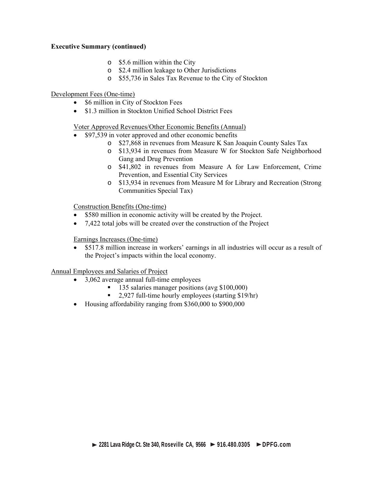#### **Executive Summary (continued)**

- o \$5.6 million within the City
- o \$2.4 million leakage to Other Jurisdictions
- o \$55,736 in Sales Tax Revenue to the City of Stockton

#### Development Fees (One-time)

- \$6 million in City of Stockton Fees
- \$1.3 million in Stockton Unified School District Fees

#### Voter Approved Revenues/Other Economic Benefits (Annual)

- \$97,539 in voter approved and other economic benefits
	- o \$27,868 in revenues from Measure K San Joaquin County Sales Tax
	- o \$13,934 in revenues from Measure W for Stockton Safe Neighborhood Gang and Drug Prevention
	- o \$41,802 in revenues from Measure A for Law Enforcement, Crime Prevention, and Essential City Services
	- o \$13,934 in revenues from Measure M for Library and Recreation (Strong Communities Special Tax)

Construction Benefits (One-time)

- \$580 million in economic activity will be created by the Project.
- 7,422 total jobs will be created over the construction of the Project

Earnings Increases (One-time)

 \$517.8 million increase in workers' earnings in all industries will occur as a result of the Project's impacts within the local economy.

Annual Employees and Salaries of Project

- 3,062 average annual full-time employees
	- <sup>1</sup> 135 salaries manager positions (avg \$100,000)
	- <sup>2</sup>.927 full-time hourly employees (starting \$19/hr)
- Housing affordability ranging from \$360,000 to \$900,000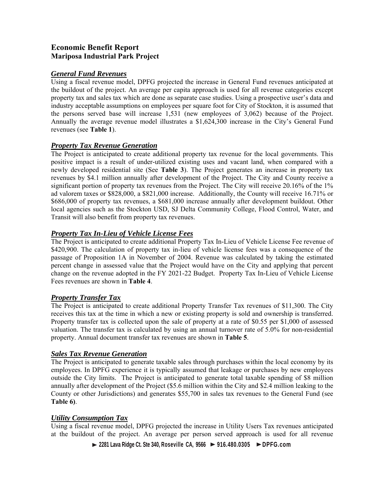## **Economic Benefit Report Mariposa Industrial Park Project**

#### *General Fund Revenues*

Using a fiscal revenue model, DPFG projected the increase in General Fund revenues anticipated at the buildout of the project. An average per capita approach is used for all revenue categories except property tax and sales tax which are done as separate case studies. Using a prospective user's data and industry acceptable assumptions on employees per square foot for City of Stockton, it is assumed that the persons served base will increase 1,531 (new employees of 3,062) because of the Project. Annually the average revenue model illustrates a \$1,624,300 increase in the City's General Fund revenues (see **Table 1**).

### *Property Tax Revenue Generation*

The Project is anticipated to create additional property tax revenue for the local governments. This positive impact is a result of under-utilized existing uses and vacant land, when compared with a newly developed residential site (See **Table 3**). The Project generates an increase in property tax revenues by \$4.1 million annually after development of the Project. The City and County receive a significant portion of property tax revenues from the Project. The City will receive 20.16% of the 1% ad valorem taxes or \$828,000, a \$821,000 increase. Additionally, the County will receive 16.71% or \$686,000 of property tax revenues, a \$681,000 increase annually after development buildout. Other local agencies such as the Stockton USD, SJ Delta Community College, Flood Control, Water, and Transit will also benefit from property tax revenues.

## *Property Tax In-Lieu of Vehicle License Fees*

The Project is anticipated to create additional Property Tax In-Lieu of Vehicle License Fee revenue of \$420,900. The calculation of property tax in-lieu of vehicle license fees was a consequence of the passage of Proposition 1A in November of 2004. Revenue was calculated by taking the estimated percent change in assessed value that the Project would have on the City and applying that percent change on the revenue adopted in the FY 2021-22 Budget. Property Tax In-Lieu of Vehicle License Fees revenues are shown in **Table 4**.

## *Property Transfer Tax*

The Project is anticipated to create additional Property Transfer Tax revenues of \$11,300. The City receives this tax at the time in which a new or existing property is sold and ownership is transferred. Property transfer tax is collected upon the sale of property at a rate of \$0.55 per \$1,000 of assessed valuation. The transfer tax is calculated by using an annual turnover rate of 5.0% for non-residential property. Annual document transfer tax revenues are shown in **Table 5**.

## *Sales Tax Revenue Generation*

The Project is anticipated to generate taxable sales through purchases within the local economy by its employees. In DPFG experience it is typically assumed that leakage or purchases by new employees outside the City limits. The Project is anticipated to generate total taxable spending of \$8 million annually after development of the Project (\$5.6 million within the City and \$2.4 million leaking to the County or other Jurisdictions) and generates \$55,700 in sales tax revenues to the General Fund (see **Table 6)**.

## *Utility Consumption Tax*

Using a fiscal revenue model, DPFG projected the increase in Utility Users Tax revenues anticipated at the buildout of the project. An average per person served approach is used for all revenue

 **2281 Lava Ridge Ct. Ste 340, Roseville CA, 9566 > 916.480.0305 > DPFG.com**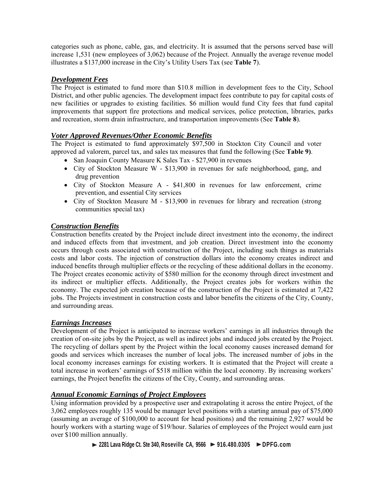categories such as phone, cable, gas, and electricity. It is assumed that the persons served base will increase 1,531 (new employees of 3,062) because of the Project. Annually the average revenue model illustrates a \$137,000 increase in the City's Utility Users Tax (see **Table 7**).

### *Development Fees*

The Project is estimated to fund more than \$10.8 million in development fees to the City, School District, and other public agencies. The development impact fees contribute to pay for capital costs of new facilities or upgrades to existing facilities. \$6 million would fund City fees that fund capital improvements that support fire protections and medical services, police protection, libraries, parks and recreation, storm drain infrastructure, and transportation improvements (See **Table 8**).

### *Voter Approved Revenues/Other Economic Benefits*

The Project is estimated to fund approximately \$97,500 in Stockton City Council and voter approved ad valorem, parcel tax, and sales tax measures that fund the following (See **Table 9)**.

- San Joaquin County Measure K Sales Tax \$27,900 in revenues
- City of Stockton Measure W \$13,900 in revenues for safe neighborhood, gang, and drug prevention
- City of Stockton Measure A \$41,800 in revenues for law enforcement, crime prevention, and essential City services
- City of Stockton Measure M \$13,900 in revenues for library and recreation (strong communities special tax)

#### *Construction Benefits*

Construction benefits created by the Project include direct investment into the economy, the indirect and induced effects from that investment, and job creation. Direct investment into the economy occurs through costs associated with construction of the Project, including such things as materials costs and labor costs. The injection of construction dollars into the economy creates indirect and induced benefits through multiplier effects or the recycling of these additional dollars in the economy. The Project creates economic activity of \$580 million for the economy through direct investment and its indirect or multiplier effects. Additionally, the Project creates jobs for workers within the economy. The expected job creation because of the construction of the Project is estimated at 7,422 jobs. The Projects investment in construction costs and labor benefits the citizens of the City, County, and surrounding areas.

#### *Earnings Increases*

Development of the Project is anticipated to increase workers' earnings in all industries through the creation of on-site jobs by the Project, as well as indirect jobs and induced jobs created by the Project. The recycling of dollars spent by the Project within the local economy causes increased demand for goods and services which increases the number of local jobs. The increased number of jobs in the local economy increases earnings for existing workers. It is estimated that the Project will create a total increase in workers' earnings of \$518 million within the local economy. By increasing workers' earnings, the Project benefits the citizens of the City, County, and surrounding areas.

## *Annual Economic Earnings of Project Employees*

Using information provided by a prospective user and extrapolating it across the entire Project, of the 3,062 employees roughly 135 would be manager level positions with a starting annual pay of \$75,000 (assuming an average of \$100,000 to account for head positions) and the remaining 2,927 would be hourly workers with a starting wage of \$19/hour. Salaries of employees of the Project would earn just over \$100 million annually.

 **2281 Lava Ridge Ct. Ste 340, Roseville CA, 9566 > 916.480.0305 > DPFG.com**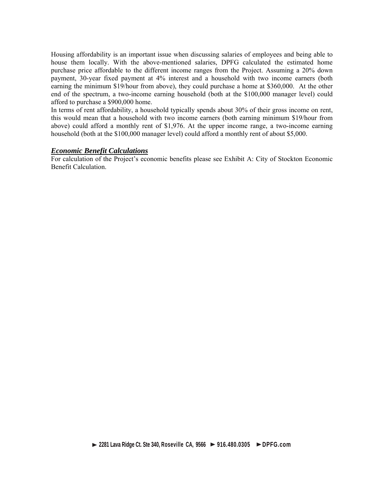Housing affordability is an important issue when discussing salaries of employees and being able to house them locally. With the above-mentioned salaries, DPFG calculated the estimated home purchase price affordable to the different income ranges from the Project. Assuming a 20% down payment, 30-year fixed payment at 4% interest and a household with two income earners (both earning the minimum \$19/hour from above), they could purchase a home at \$360,000. At the other end of the spectrum, a two-income earning household (both at the \$100,000 manager level) could afford to purchase a \$900,000 home.

In terms of rent affordability, a household typically spends about 30% of their gross income on rent, this would mean that a household with two income earners (both earning minimum \$19/hour from above) could afford a monthly rent of \$1,976. At the upper income range, a two-income earning household (both at the \$100,000 manager level) could afford a monthly rent of about \$5,000.

#### *Economic Benefit Calculations*

For calculation of the Project's economic benefits please see Exhibit A: City of Stockton Economic Benefit Calculation.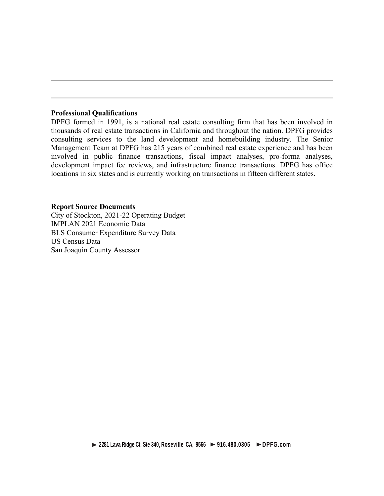#### **Professional Qualifications**

DPFG formed in 1991, is a national real estate consulting firm that has been involved in thousands of real estate transactions in California and throughout the nation. DPFG provides consulting services to the land development and homebuilding industry. The Senior Management Team at DPFG has 215 years of combined real estate experience and has been involved in public finance transactions, fiscal impact analyses, pro-forma analyses, development impact fee reviews, and infrastructure finance transactions. DPFG has office locations in six states and is currently working on transactions in fifteen different states.

#### **Report Source Documents**

City of Stockton, 2021-22 Operating Budget IMPLAN 2021 Economic Data BLS Consumer Expenditure Survey Data US Census Data San Joaquin County Assessor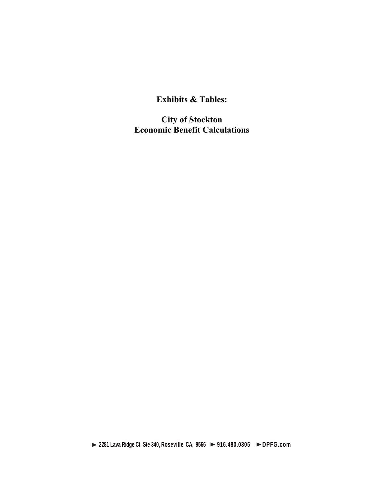**Exhibits & Tables:** 

**City of Stockton Economic Benefit Calculations** 

 **2281 Lava Ridge Ct. Ste 340, Roseville CA, 9566 > 916.480.0305 > DPFG.com**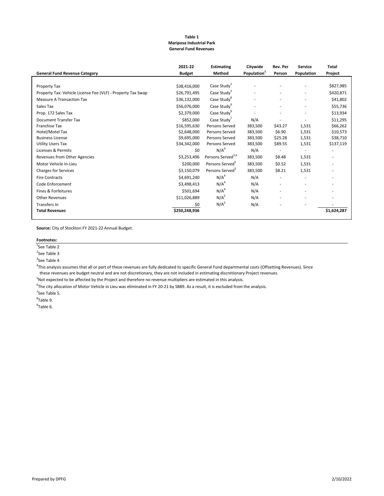#### **Table 1 Mariposa Industrial Park General Fund Revenues**

|                                                             | 2021-22       | <b>Estimating</b>             | Citywide                | Rev. Per       | <b>Service</b> | Total       |
|-------------------------------------------------------------|---------------|-------------------------------|-------------------------|----------------|----------------|-------------|
| <b>General Fund Revenue Category</b>                        | <b>Budget</b> | Method                        | Population <sup>1</sup> | Person         | Population     | Project     |
|                                                             |               |                               |                         |                |                |             |
| Property Tax                                                | \$38,416,000  | Case Study <sup>2</sup>       |                         |                |                | \$827,985   |
| Property Tax: Vehicle License Fee (VLF) - Property Tax Swap | \$26,791,495  | Case Study <sup>3</sup>       |                         |                |                | \$420,871   |
| <b>Measure A Transaction Tax</b>                            | \$36,132,000  | Case Study <sup>8</sup>       | ٠                       | ٠              | ٠              | \$41,802    |
| Sales Tax                                                   | \$56,076,000  | Case Study <sup>9</sup>       |                         | ٠              | ٠              | \$55,736    |
| Prop. 172 Sales Tax                                         | \$2,379,000   | Case Study <sup>9</sup>       |                         |                |                | \$13,934    |
| Document Transfer Tax                                       | \$852,000     | Case Study                    | N/A                     |                |                | \$11,295    |
| <b>Franchise Tax</b>                                        | \$16,595,630  | Persons Served                | 383,500                 | \$43.27        | 1,531          | \$66,262    |
| Hotel/Motel Tax                                             | \$2,648,000   | Persons Served                | 383,500                 | \$6.90         | 1,531          | \$10,573    |
| <b>Business License</b>                                     | \$9,695,000   | Persons Served                | 383,500                 | \$25.28        | 1,531          | \$38,710    |
| <b>Utility Users Tax</b>                                    | \$34,342,000  | Persons Served                | 383,500                 | \$89.55        | 1,531          | \$137,119   |
| Licenses & Permits                                          | \$0           | N/A <sup>4</sup>              | N/A                     |                |                |             |
| Revenues from Other Agencies                                | \$3,253,496   | Persons Served <sup>3,4</sup> | 383,500                 | \$8.48         | 1,531          |             |
| Motor Vehicle In-Lieu                                       | \$200,000     | Persons Served <sup>5</sup>   | 383,500                 | \$0.52         | 1,531          |             |
| <b>Charges for Services</b>                                 | \$3,150,079   | Persons Served <sup>3</sup>   | 383,500                 | \$8.21         | 1,531          |             |
| <b>Fire Contracts</b>                                       | \$4,691,240   | N/A <sup>4</sup>              | N/A                     |                |                |             |
| Code Enforcement                                            | \$3,498,413   | N/A <sup>4</sup>              | N/A                     | $\overline{a}$ | ٠              | $\sim$      |
| Fines & Forfeitures                                         | \$501,694     | N/A <sup>4</sup>              | N/A                     | ٠              |                |             |
| <b>Other Revenues</b>                                       | \$11,026,889  | N/A <sup>5</sup>              | N/A                     | ٠              | ٠              |             |
| <b>Transfers In</b>                                         | \$0           | N/A <sup>5</sup>              | N/A                     |                |                |             |
| <b>Total Revenues</b>                                       | \$250,248,936 |                               |                         |                |                | \$1,624,287 |
|                                                             |               |                               |                         |                |                |             |

**Source:** City of Stockton FY 2021‐22 Annual Budget.

#### **Footnotes:**

<sup>1</sup>See Table 2

<sup>2</sup>See Table 3

<sup>3</sup>See Table 4

4 This analysis assumes that all or part of these revenues are fully dedicated to specific General Fund departmental costs (Offsetting Revenues). Since

these revenues are budget neutral and are not discretionary, they are not included in estimating discretionary Project revenues.

<sup>5</sup>Not expected to be affected by the Project and therefore no revenue multipliers are estimated in this analysis.

<sup>6</sup>The city allocation of Motor Vehicle in Lieu was eliminated in FY 20-21 by SB89. As a result, it is excluded from the analysis.

<sup>7</sup>See Table 5.

8 Table 9.

<sup>9</sup>Table 6.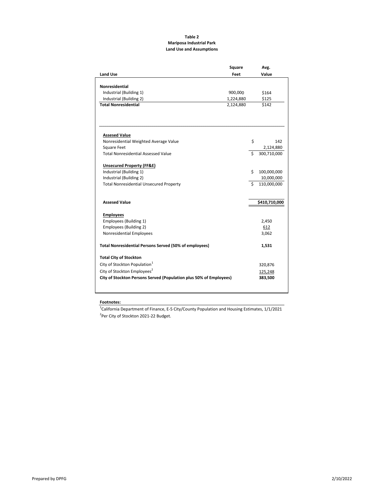#### **Table 2 Mariposa Industrial Park Land Use and Assumptions**

|                                                                    | Square    |    | Avg.          |
|--------------------------------------------------------------------|-----------|----|---------------|
| <b>Land Use</b>                                                    | Feet      |    | Value         |
|                                                                    |           |    |               |
| <b>Nonresidential</b>                                              |           |    |               |
| Industrial (Building 1)                                            | 900,000   |    | \$164         |
| Industrial (Building 2)                                            | 1,224,880 |    | \$125         |
| <b>Total Nonresidential</b>                                        | 2,124,880 |    | \$142         |
|                                                                    |           |    |               |
| <b>Assesed Value</b>                                               |           |    |               |
| Nonresidential Weighted Average Value                              |           | \$ | 142           |
| <b>Square Feet</b><br><b>Total Nonresidential Assessed Value</b>   |           | Ś  | 2,124,880     |
|                                                                    |           |    | 300,710,000   |
| <b>Unsecured Property (FF&amp;E)</b>                               |           |    |               |
| Industrial (Building 1)                                            |           | Ś. | 100,000,000   |
| Industrial (Building 2)                                            |           |    | 10,000,000    |
| <b>Total Nonresidential Unsecured Property</b>                     |           | Ś. | 110,000,000   |
| <b>Assesed Value</b>                                               |           |    | \$410,710,000 |
| <b>Employees</b>                                                   |           |    |               |
| Employees (Building 1)                                             |           |    | 2,450         |
| Employees (Building 2)                                             |           |    | 612           |
| Nonresidential Employees                                           |           |    | 3,062         |
|                                                                    |           |    |               |
| <b>Total Nonresidential Persons Served (50% of employees)</b>      |           |    | 1,531         |
| <b>Total City of Stockton</b>                                      |           |    |               |
| City of Stockton Population <sup>1</sup>                           |           |    | 320,876       |
| City of Stockton Employees <sup>2</sup>                            |           |    | 125,248       |
| City of Stockton Persons Served (Population plus 50% of Employees) |           |    | 383,500       |
|                                                                    |           |    |               |

#### **Footnotes:**

 $^{1}$ California Department of Finance, E-5 City/County Population and Housing Estimates, 1/1/2021 <sup>2</sup>Per City of Stockton 2021-22 Budget.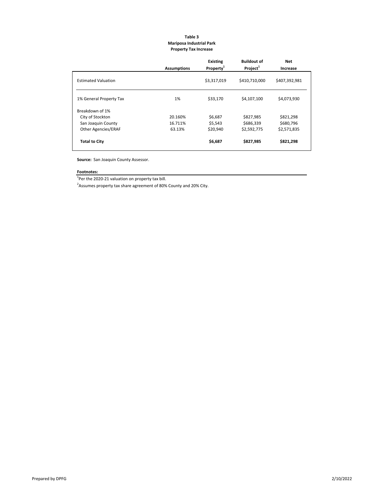#### **Table 3 Mariposa Industrial Park Property Tax Increase**

|                            | <b>Assumptions</b> | <b>Existing</b><br>Property <sup>1</sup> | <b>Buildout of</b><br>Project <sup>1</sup> | Net<br>Increase |
|----------------------------|--------------------|------------------------------------------|--------------------------------------------|-----------------|
| <b>Estimated Valuation</b> |                    | \$3,317,019                              | \$410,710,000                              | \$407,392,981   |
|                            |                    |                                          |                                            |                 |
| 1% General Property Tax    | 1%                 | \$33,170                                 | \$4,107,100                                | \$4,073,930     |
| Breakdown of 1%            |                    |                                          |                                            |                 |
| City of Stockton           | 20.160%            | \$6,687                                  | \$827,985                                  | \$821,298       |
| San Joaquin County         | 16.711%            | \$5,543                                  | \$686,339                                  | \$680,796       |
| <b>Other Agencies/ERAF</b> | 63.13%             | \$20,940                                 | \$2,592,775                                | \$2,571,835     |
| <b>Total to City</b>       |                    | \$6,687                                  | \$827,985                                  | \$821,298       |

**Source:**  San Joaquin County Assessor.

## **Footnotes:**

 $1$ Per the 2020-21 valuation on property tax bill.

 $^2$ Assumes property tax share agreement of 80% County and 20% City.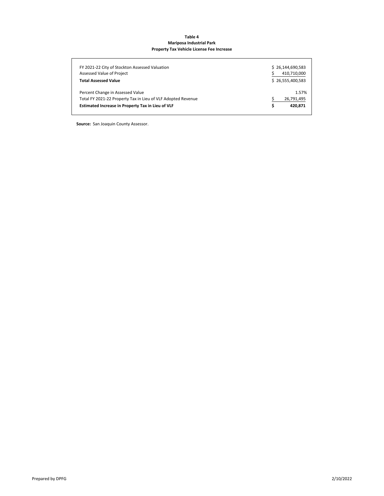#### **Table 4 Mariposa Industrial Park Property Tax Vehicle License Fee Increase**

| FY 2021-22 City of Stockton Assessed Valuation<br>Assessed Value of Project | \$26,144,690,583<br>410,710,000 |
|-----------------------------------------------------------------------------|---------------------------------|
| <b>Total Assessed Value</b>                                                 | \$26.555.400.583                |
| Percent Change in Assessed Value                                            | 1.57%                           |
| Total FY 2021-22 Property Tax in Lieu of VLF Adopted Revenue                | 26,791,495                      |
| Estimated Increase in Property Tax in Lieu of VLF                           | Ś<br>420.871                    |

**Source: San Joaquin County Assessor.**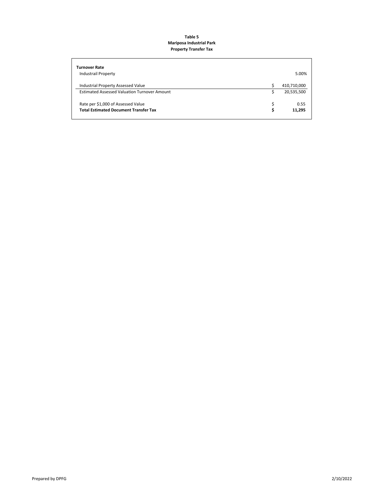#### **Table 5 Mariposa Industrial Park Property Transfer Tax**

| <b>Turnover Rate</b>                                                                      |    |                           |
|-------------------------------------------------------------------------------------------|----|---------------------------|
| <b>Industrail Property</b>                                                                |    | 5.00%                     |
| Industrial Property Assessed Value<br><b>Estimated Assessed Valuation Turnover Amount</b> |    | 410,710,000<br>20,535,500 |
| Rate per \$1,000 of Assessed Value<br><b>Total Estimated Document Transfer Tax</b>        | Ś. | 0.55<br>11,295            |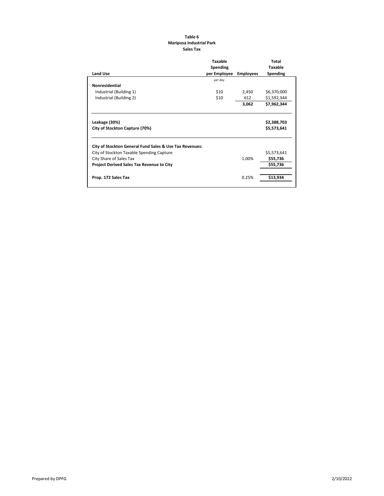#### **Table 6 Mariposa Industrial Park Sales Tax**

|                                                         | <b>Taxable</b> |                  | <b>Total</b>   |
|---------------------------------------------------------|----------------|------------------|----------------|
|                                                         | Spending       |                  | <b>Taxable</b> |
| <b>Land Use</b>                                         | per Employee   | <b>Employees</b> | Spending       |
|                                                         | per day        |                  |                |
| <b>Nonresidential</b>                                   |                |                  |                |
| Industrial (Building 1)                                 | \$10           | 2,450            | \$6,370,000    |
| Industrial (Building 2)                                 | \$10           | 612              | \$1,592,344    |
|                                                         |                | 3,062            | \$7,962,344    |
| Leakage (30%)                                           |                |                  | \$2,388,703    |
| City of Stockton Capture (70%)                          |                |                  | \$5,573,641    |
| City of Stockton General Fund Sales & Use Tax Revenues: |                |                  |                |
| City of Stockton Taxable Spending Capture               |                |                  | \$5,573,641    |
| City Share of Sales Tax                                 |                | 1.00%            | \$55,736       |
| Project Derived Sales Tax Revenue to City               |                |                  | \$55,736       |
| Prop. 172 Sales Tax                                     |                | 0.25%            | \$13,934       |
|                                                         |                |                  |                |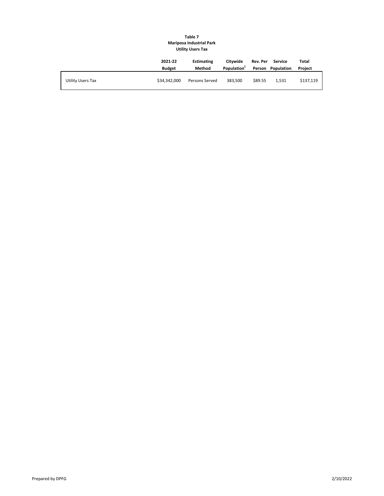#### **Table 7 Mariposa Industrial Park Utility Users Tax**

|                   | 2021-22<br><b>Budget</b> | <b>Estimating</b><br>Method | Citywide<br>Population <sup>1</sup> | Rev. Per | Service<br>Person Population | Total<br>Project |
|-------------------|--------------------------|-----------------------------|-------------------------------------|----------|------------------------------|------------------|
| Utility Users Tax | \$34.342.000             | Persons Served              | 383.500                             | \$89.55  | 1.531                        | \$137.119        |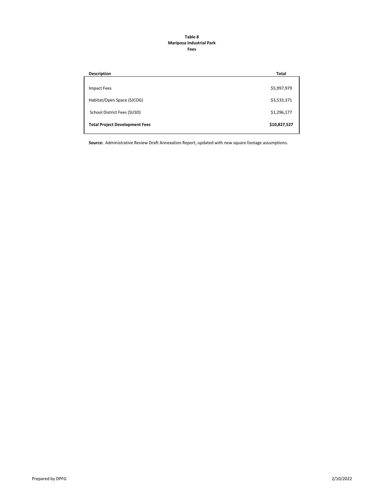#### **Table 8 Mariposa Industrial Park Fees**

| <b>Total</b> |
|--------------|
|              |
| \$5,997,979  |
|              |
| \$3,533,371  |
| \$1,296,177  |
| \$10,827,527 |
|              |

**Source:**  Administrative Review Draft Annexation Report, updated with new square footage assumptions.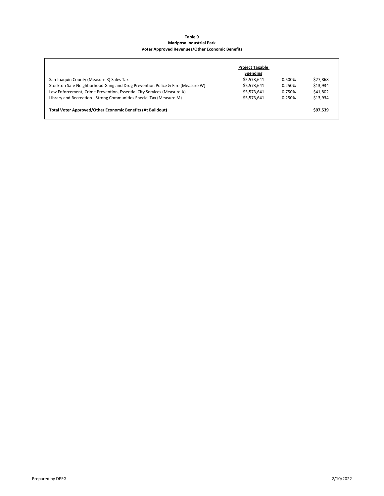#### **Table 9 Mariposa Industrial Park Voter Approved Revenues/Other Economic Benefits**

|                                                                               | <b>Project Taxable</b><br>Spending |        |          |
|-------------------------------------------------------------------------------|------------------------------------|--------|----------|
| San Joaquin County (Measure K) Sales Tax                                      | \$5,573,641                        | 0.500% | \$27.868 |
| Stockton Safe Neighborhood Gang and Drug Prevention Police & Fire (Measure W) | \$5,573,641                        | 0.250% | \$13.934 |
| Law Enforcement, Crime Prevention, Essential City Services (Measure A)        | \$5,573,641                        | 0.750% | \$41,802 |
| Library and Recreation - Strong Communities Special Tax (Measure M)           | \$5.573.641                        | 0.250% | \$13,934 |
| <b>Total Voter Approved/Other Economic Benefits (At Buildout)</b>             |                                    |        | \$97,539 |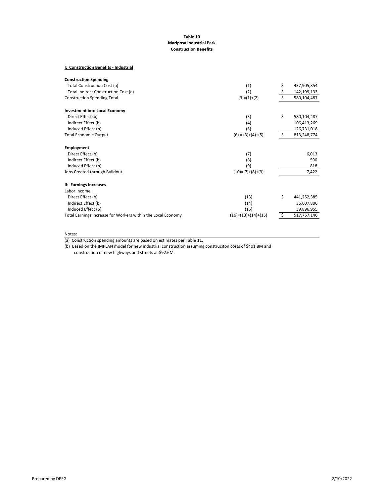#### **Table 10 Mariposa Industrial Park Construction Benefits**

#### **I: Construction Benefits ‐ Industrial**

| <b>Construction Spending</b>                                 |                       |                   |
|--------------------------------------------------------------|-----------------------|-------------------|
| Total Construction Cost (a)                                  | (1)                   | \$<br>437,905,354 |
| Total Indirect Construction Cost (a)                         | (2)                   | 142,199,133       |
| <b>Construction Spending Total</b>                           | $(3)=(1)+(2)$         | 580,104,487       |
| <b>Investment into Local Economy</b>                         |                       |                   |
| Direct Effect (b)                                            | (3)                   | \$<br>580,104,487 |
| Indirect Effect (b)                                          | (4)                   | 106,413,269       |
| Induced Effect (b)                                           | (5)                   | 126,731,018       |
| <b>Total Economic Output</b>                                 | $(6) = (3)+(4)+(5)$   | 813,248,774       |
| Employment                                                   |                       |                   |
| Direct Effect (b)                                            | (7)                   | 6,013             |
| Indirect Effect (b)                                          | (8)                   | 590               |
| Induced Effect (b)                                           | (9)                   | 818               |
| Jobs Created through Buildout                                | $(10)=(7)+(8)+(9)$    | 7,422             |
| II: Earnings Increases                                       |                       |                   |
| Labor Income                                                 |                       |                   |
| Direct Effect (b)                                            | (13)                  | \$<br>441,252,385 |
| Indirect Effect (b)                                          | (14)                  | 36,607,806        |
| Induced Effect (b)                                           | (15)                  | 39,896,955        |
| Total Earnings Increase for Workers within the Local Economy | $(16)=(13)+(14)+(15)$ | 517,757,146       |

Notes:

(a) Construction spending amounts are based on estimates per Table 11.

construction of new highways and streets at \$92.6M. (b) Based on the IMPLAN model for new industrial construction assuming construciton costs of \$401.8M and